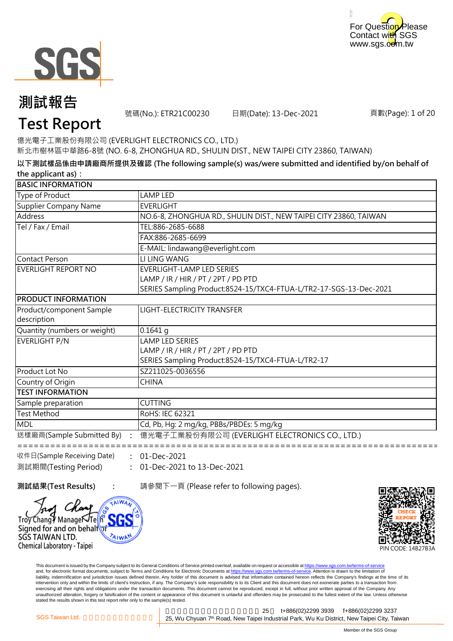



號碼(No.): ETR21C00230 日期(Date): 13-Dec-2021

頁數(Page): 1 of 20

# **Test Report**

新北市樹林區中華路6-8號 (NO. 6-8, ZHONGHUA RD., SHULIN DIST., NEW TAIPEI CITY 23860, TAIWAN) 億光電子工業股份有限公司 (EVERLIGHT ELECTRONICS CO., LTD.)

**以下測試樣品係由申請廠商所提供及確認 (The following sample(s) was/were submitted and identified by/on behalf of the applicant as):**

| <b>BASIC INFORMATION</b>     |                                                                    |
|------------------------------|--------------------------------------------------------------------|
| Type of Product              | LAMP LED                                                           |
| <b>Supplier Company Name</b> | <b>EVERLIGHT</b>                                                   |
| Address                      | NO.6-8, ZHONGHUA RD., SHULIN DIST., NEW TAIPEI CITY 23860, TAIWAN  |
| Tel / Fax / Email            | TEL:886-2685-6688                                                  |
|                              | FAX:886-2685-6699                                                  |
|                              | E-MAIL: lindawang@everlight.com                                    |
| <b>Contact Person</b>        | LI LING WANG                                                       |
| EVERLIGHT REPORT NO          | <b>EVERLIGHT-LAMP LED SERIES</b>                                   |
|                              | LAMP / IR / HIR / PT / 2PT / PD PTD                                |
|                              | SERIES Sampling Product:8524-15/TXC4-FTUA-L/TR2-17-SGS-13-Dec-2021 |
| <b>PRODUCT INFORMATION</b>   |                                                                    |
| Product/component Sample     | <b>LIGHT-ELECTRICITY TRANSFER</b>                                  |
| description                  |                                                                    |
| Quantity (numbers or weight) | $0.1641$ q                                                         |
| <b>EVERLIGHT P/N</b>         | <b>LAMP LED SERIES</b>                                             |
|                              | LAMP / IR / HIR / PT / 2PT / PD PTD                                |
|                              | SERIES Sampling Product:8524-15/TXC4-FTUA-L/TR2-17                 |
| Product Lot No               | SZ211025-0036556                                                   |
| Country of Origin            | <b>CHINA</b>                                                       |
| <b>TEST INFORMATION</b>      |                                                                    |
| Sample preparation           | <b>CUTTING</b>                                                     |
| <b>Test Method</b>           | RoHS: IEC 62321                                                    |
| <b>MDL</b>                   | Cd, Pb, Hg: 2 mg/kg, PBBs/PBDEs: 5 mg/kg                           |
| 送樣廠商(Sample Submitted By)    | 億光電子工業股份有限公司 (EVERLIGHT ELECTRONICS CO., LTD.)                     |
| 收件日(Sample Receiving Date)   | 01-Dec-2021                                                        |

**:** 01-Dec-2021 to 13-Dec-2021 測試期間(Testing Period)

Trov Chang Manage JTellh Signed for and on behalfor

SGS TAIWAN LTD. Chemical Laboratory - Taipei

**測試結果(Test Results) :** 請參閱下一頁 (Please refer to following pages).

PIN CODE: 14B27B3A

This document is issued by the Company subject to its General Conditions of Service printed overleaf, available on request or accessible at https://www.sgs.com.tw/terms-of-service and, for electronic format documents, subject to Terms and Conditions for Electronic Documents at https://www.sgs.com.tw/terms-of-service. Attention is drawn to the limitation of liability, indemnification and jurisdiction issues defined therein. Any holder of this document is advised that information contained hereon reflects the Company's findings at the time of its intervention only and within the limits of client's instruction, if any. The Company's sole responsibility is to its Client and this document does not exonerate parties to a transaction from exercising all their rights and obligations under the transaction documents. This document cannot be reproduced, except in full, without prior written approval of the Company. Any<br>unauthorized alteration, forgery or falsif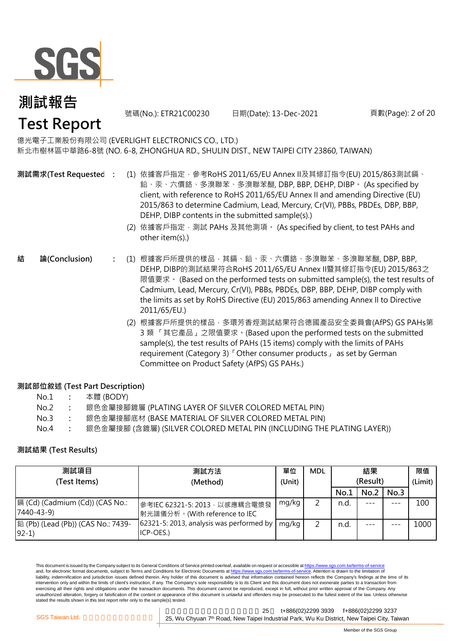

新北市樹林區中華路6-8號 (NO. 6-8, ZHONGHUA RD., SHULIN DIST., NEW TAIPEI CITY 23860, TAIWAN) 億光電子工業股份有限公司 (EVERLIGHT ELECTRONICS CO., LTD.)

號碼(No.): ETR21C00230 日期(Date): 13-Dec-2021

**測試需求(Test Requested)**

- **:** (1) 依據客戶指定,參考RoHS 2011/65/EU Annex II及其修訂指令(EU) 2015/863測試鎘、 鉛、汞、六價鉻、多溴聯苯、多溴聯苯醚, DBP, BBP, DEHP, DIBP。 (As specified by client, with reference to RoHS 2011/65/EU Annex II and amending Directive (EU) 2015/863 to determine Cadmium, Lead, Mercury, Cr(VI), PBBs, PBDEs, DBP, BBP, DEHP, DIBP contents in the submitted sample(s).)
	- (2) 依據客戶指定,測試 PAHs 及其他測項。 (As specified by client, to test PAHs and other item(s).)
- **:** (1) 根據客戶所提供的樣品,其鎘、鉛、汞、六價鉻、多溴聯苯、多溴聯苯醚, DBP, BBP, DEHP, DIBP的測試結果符合RoHS 2011/65/EU Annex II暨其修訂指令(EU) 2015/863之 限值要求。 (Based on the performed tests on submitted sample(s), the test results of Cadmium, Lead, Mercury, Cr(VI), PBBs, PBDEs, DBP, BBP, DEHP, DIBP comply with the limits as set by RoHS Directive (EU) 2015/863 amending Annex II to Directive 2011/65/EU.) **結 論(Conclusion)**
	- (2) 根據客戶所提供的樣品,多環芳香烴測試結果符合德國產品安全委員會(AfPS) GS PAHs第 3 類 「其它產品」之限值要求。(Based upon the performed tests on the submitted sample(s), the test results of PAHs (15 items) comply with the limits of PAHs requirement (Category 3)「Other consumer products」 as set by German Committee on Product Safety (AfPS) GS PAHs.)

#### **測試部位敘述 (Test Part Description)**

| No.1 |  | 本體 (BODY) |
|------|--|-----------|
|------|--|-----------|

- No.2 **:** 銀色金屬接腳鍍層 (PLATING LAYER OF SILVER COLORED METAL PIN)
- No.3 **:** 銀色金屬接腳底材 (BASE MATERIAL OF SILVER COLORED METAL PIN)
- No.4 **:** 銀色金屬接腳 (含鍍層) (SILVER COLORED METAL PIN (INCLUDING THE PLATING LAYER))

#### **測試結果 (Test Results)**

| 測試項目                                          | 測試方法                                                            | 單位     | <b>MDL</b> |          | 結果   |         | 限值   |
|-----------------------------------------------|-----------------------------------------------------------------|--------|------------|----------|------|---------|------|
| (Test Items)                                  | (Method)                                                        | (Unit) |            | (Result) |      | (Limit) |      |
|                                               |                                                                 |        |            | No.1     | No.2 | No.3    |      |
| 鎘 (Cd) (Cadmium (Cd)) (CAS No.:<br>7440-43-9) | 參考IEC 62321-5: 2013, 以感應耦合電漿發<br> 射光譜儀分析。(With reference to IEC | mg/kg  | ◠          | n.d.     | ---  |         | 100  |
| 鉛 (Pb) (Lead (Pb)) (CAS No.: 7439-<br>$92-1)$ | 62321-5: 2013, analysis was performed by<br>ICP-OES.)           | mg/kg  |            | n.d.     | ---  |         | 1000 |

This document is issued by the Company subject to its General Conditions of Service printed overleaf, available on request or accessible at https://www.sgs.com.tw/terms-of-service and, for electronic format documents, subject to Terms and Conditions for Electronic Documents at https://www.sgs.com.tw/terms-of-service. Attention is drawn to the limitation of liability, indemnification and jurisdiction issues defined therein. Any holder of this document is advised that information contained hereon reflects the Company's findings at the time of its intervention only and within the limits of client's instruction, if any. The Company's sole responsibility is to its Client and this document does not exonerate parties to a transaction from exercising all their rights and obligations under the transaction documents. This document cannot be reproduced, except in full, without prior written approval of the Company. Any unauthorized alteration, forgery or falsification of the content or appearance of this document is unlawful and offenders may be prosecuted to the fullest extent of the law. Unless otherwise stated the results shown in this test report refer only to the sample(s) tested.

新北市五股區新北產業園區五權七 25 t+886(02)2299 3939 f+886(02)2299 3237 SGS Taiwan Ltd. **Exercise 25, Wu Chyuan 7<sup>th</sup> Road, New Taipei Industrial Park, Wu Ku District, New Taipei City, Taiwan** 

頁數(Page): 2 of 20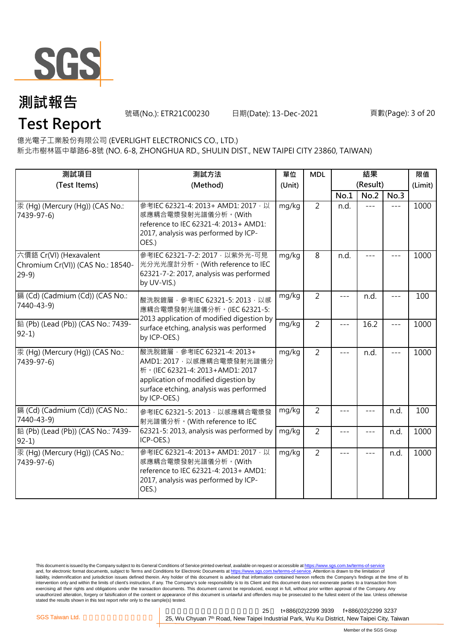

號碼(No.): ETR21C00230 日期(Date): 13-Dec-2021

頁數(Page): 3 of 20

# **Test Report**

億光電子工業股份有限公司 (EVERLIGHT ELECTRONICS CO., LTD.)

新北市樹林區中華路6-8號 (NO. 6-8, ZHONGHUA RD., SHULIN DIST., NEW TAIPEI CITY 23860, TAIWAN)

| 測試項目<br>(Test Items)                                                  | 測試方法<br>(Method)                                                                                                                                                                               | 單位<br>(Unit) | <b>MDL</b>     |       | 結果<br>(Result) |       | 限值<br>(Limit) |
|-----------------------------------------------------------------------|------------------------------------------------------------------------------------------------------------------------------------------------------------------------------------------------|--------------|----------------|-------|----------------|-------|---------------|
|                                                                       |                                                                                                                                                                                                |              |                | No.1  | No.2           | No.3  |               |
| 汞 (Hg) (Mercury (Hg)) (CAS No.:<br>7439-97-6)                         | 參考IEC 62321-4: 2013+ AMD1: 2017 以<br>感應耦合電漿發射光譜儀分析。(With<br>reference to IEC 62321-4: 2013+ AMD1:<br>2017, analysis was performed by ICP-<br>OES.)                                             | mg/kg        | $\overline{2}$ | n.d.  | $---$          | $---$ | 1000          |
| 六價鉻 Cr(VI) (Hexavalent<br>Chromium Cr(VI)) (CAS No.: 18540-<br>$29-9$ | 參考IEC 62321-7-2: 2017, 以紫外光-可見<br>光分光光度計分析。(With reference to IEC<br>62321-7-2: 2017, analysis was performed<br>by UV-VIS.)                                                                    | mg/kg        | 8              | n.d.  |                |       | 1000          |
| 鎘 (Cd) (Cadmium (Cd)) (CAS No.:<br>7440-43-9)                         | 酸洗脫鍍層, 參考IEC 62321-5: 2013, 以感<br>應耦合電漿發射光譜儀分析。(IEC 62321-5:<br>2013 application of modified digestion by                                                                                      | mg/kg        | $\overline{2}$ | $---$ | n.d.           | $---$ | 100           |
| 鉛 (Pb) (Lead (Pb)) (CAS No.: 7439-<br>$92-1$                          | surface etching, analysis was performed<br>by ICP-OES.)                                                                                                                                        | mg/kg        | $\overline{2}$ | $---$ | 16.2           | $---$ | 1000          |
| 汞 (Hg) (Mercury (Hg)) (CAS No.:<br>7439-97-6)                         | 酸洗脫鍍層, 參考IEC 62321-4: 2013+<br>AMD1: 2017, 以感應耦合電漿發射光譜儀分<br>析。(IEC 62321-4: 2013+AMD1: 2017<br>application of modified digestion by<br>surface etching, analysis was performed<br>by ICP-OES.) | mg/kg        | $\overline{2}$ | $---$ | n.d.           |       | 1000          |
| 鎘 (Cd) (Cadmium (Cd)) (CAS No.:<br>7440-43-9)                         | 參考IEC 62321-5: 2013, 以感應耦合電漿發<br>射光譜儀分析。(With reference to IEC                                                                                                                                 | mg/kg        | $\overline{2}$ | $---$ |                | n.d.  | 100           |
| 鉛 (Pb) (Lead (Pb)) (CAS No.: 7439-<br>$92-1$                          | 62321-5: 2013, analysis was performed by<br>mg/kg<br>ICP-OES.)                                                                                                                                 |              | $\overline{2}$ | $---$ | $---$          | n.d.  | 1000          |
| 汞 (Hg) (Mercury (Hg)) (CAS No.:<br>7439-97-6)                         | 參考IEC 62321-4: 2013+ AMD1: 2017, 以<br>感應耦合電漿發射光譜儀分析。(With<br>reference to IEC 62321-4: 2013+ AMD1:<br>2017, analysis was performed by ICP-<br>OES.)                                            | mg/kg        | $\overline{2}$ | $ -$  | $---$          | n.d.  | 1000          |

This document is issued by the Company subject to its General Conditions of Service printed overleaf, available on request or accessible at <u>https://www.sgs.com.tw/terms-of-service</u><br>and, for electronic format documents, su liability, indemnification and jurisdiction issues defined therein. Any holder of this document is advised that information contained hereon reflects the Company's findings at the time of its intervention only and within the limits of client's instruction, if any. The Company's sole responsibility is to its Client and this document does not exonerate parties to a transaction from exercising all their rights and obligations under the transaction documents. This document cannot be reproduced, except in full, without prior written approval of the Company. Any<br>unauthorized alteration, forgery or falsif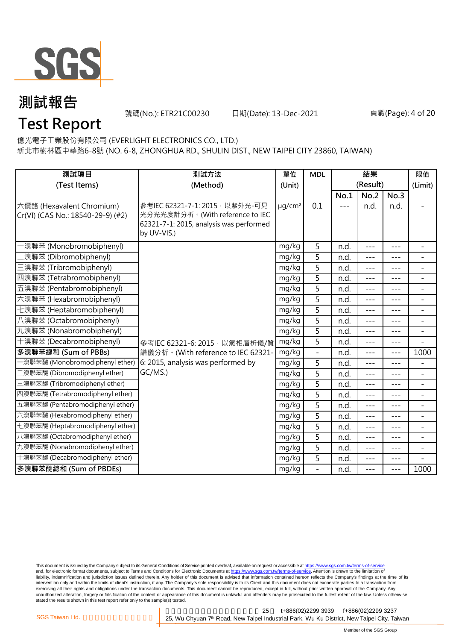

號碼(No.): ETR21C00230 日期(Date): 13-Dec-2021

頁數(Page): 4 of 20

# **Test Report**

億光電子工業股份有限公司 (EVERLIGHT ELECTRONICS CO., LTD.)

新北市樹林區中華路6-8號 (NO. 6-8, ZHONGHUA RD., SHULIN DIST., NEW TAIPEI CITY 23860, TAIWAN)

| 測試項目<br>測試方法                                                   |                                                                                                                             | 單位                      | <b>MDL</b>     | 結果    |                  |               | 限值                       |
|----------------------------------------------------------------|-----------------------------------------------------------------------------------------------------------------------------|-------------------------|----------------|-------|------------------|---------------|--------------------------|
| (Test Items)                                                   | (Method)                                                                                                                    | (Unit)                  |                | No.1  | (Result)<br>No.2 | No.3          | (Limit)                  |
| 六價鉻 (Hexavalent Chromium)<br>Cr(VI) (CAS No.: 18540-29-9) (#2) | 參考IEC 62321-7-1: 2015, 以紫外光-可見<br>光分光光度計分析。(With reference to IEC<br>62321-7-1: 2015, analysis was performed<br>by UV-VIS.) | $\mu$ g/cm <sup>2</sup> | 0.1            | $---$ | n.d.             | n.d.          | $\blacksquare$           |
| ·溴聯苯 (Monobromobiphenyl)                                       |                                                                                                                             | mg/kg                   | 5              | n.d.  | $- - -$          | $\frac{1}{2}$ | $\blacksquare$           |
| [溴聯苯 (Dibromobiphenyl)                                         |                                                                                                                             | mg/kg                   | 5              | n.d.  | $---$            | $---$         | $\blacksquare$           |
| 三溴聯苯 (Tribromobiphenyl)                                        |                                                                                                                             | mg/kg                   | 5              | n.d.  | $---$            | $---$         | $\blacksquare$           |
| 四溴聯苯 (Tetrabromobiphenyl)                                      |                                                                                                                             | mg/kg                   | 5              | n.d.  | $---$            | $---$         | $\overline{a}$           |
| 五溴聯苯 (Pentabromobiphenyl)                                      |                                                                                                                             | mg/kg                   | $\overline{5}$ | n.d.  | $---$            | $---$         | $\overline{a}$           |
| 六溴聯苯 (Hexabromobiphenyl)                                       |                                                                                                                             | mg/kg                   | 5              | n.d.  | $---$            | $---$         | $\overline{\phantom{a}}$ |
| 七溴聯苯 (Heptabromobiphenyl)                                      |                                                                                                                             | mg/kg                   | 5              | n.d.  | $---$            | $- - -$       |                          |
| 八溴聯苯 (Octabromobiphenyl)                                       |                                                                                                                             | mg/kg                   | 5              | n.d.  | $---$            | $---$         | $\blacksquare$           |
| 九溴聯苯 (Nonabromobiphenyl)                                       |                                                                                                                             | mg/kg                   | $\overline{5}$ | n.d.  | $- - -$          | ---           | $\overline{\phantom{a}}$ |
| 十溴聯苯 (Decabromobiphenyl)                                       | 參考IEC 62321-6: 2015, 以氣相層析儀/質                                                                                               | mg/kg                   | 5              | n.d.  | $- - -$          | $---$         | $\blacksquare$           |
| 多溴聯苯總和 (Sum of PBBs)                                           | 譜儀分析。(With reference to IEC 62321-                                                                                          | mg/kg                   |                | n.d.  | $---$            | $- - -$       | 1000                     |
| -溴聯苯醚 (Monobromodiphenyl ether)                                | 6: 2015, analysis was performed by                                                                                          | mg/kg                   | 5              | n.d.  | $---$            | $---$         | $\equiv$                 |
| 二溴聯苯醚 (Dibromodiphenyl ether)                                  | GC/MS.)                                                                                                                     | mg/kg                   | 5              | n.d.  | $---$            | $---$         | $\overline{\phantom{a}}$ |
| 三溴聯苯醚 (Tribromodiphenyl ether)                                 |                                                                                                                             | mg/kg                   | 5              | n.d.  |                  | $- - -$       | $\overline{\phantom{a}}$ |
| 四溴聯苯醚 (Tetrabromodiphenyl ether)                               |                                                                                                                             | mg/kg                   | $\overline{5}$ | n.d.  | $- - -$          | $---$         | $\blacksquare$           |
| 五溴聯苯醚 (Pentabromodiphenyl ether)                               |                                                                                                                             | mg/kg                   | $\overline{5}$ | n.d.  | $---$            | ---           | $\overline{\phantom{a}}$ |
| 六溴聯苯醚 (Hexabromodiphenyl ether)                                |                                                                                                                             | mg/kg                   | 5              | n.d.  | $---$            | $---$         | $\blacksquare$           |
| 七溴聯苯醚 (Heptabromodiphenyl ether)                               |                                                                                                                             | mg/kg                   | 5              | n.d.  | $---$            | $- - -$       | $\blacksquare$           |
| 八溴聯苯醚 (Octabromodiphenyl ether)                                |                                                                                                                             | mg/kg                   | $\overline{5}$ | n.d.  | $- - -$          | $---$         | $\blacksquare$           |
| 九溴聯苯醚 (Nonabromodiphenyl ether)                                |                                                                                                                             | mg/kg                   | 5              | n.d.  | $---$            | $---$         | $\overline{\phantom{a}}$ |
| 十溴聯苯醚 (Decabromodiphenyl ether)                                |                                                                                                                             | mg/kg                   | 5              | n.d.  | $---$            | ---           |                          |
| 多溴聯苯醚總和 (Sum of PBDEs)                                         |                                                                                                                             | mg/kg                   | $\overline{a}$ | n.d.  | $- - -$          | $\frac{1}{2}$ | 1000                     |

This document is issued by the Company subject to its General Conditions of Service printed overleaf, available on request or accessible at <u>https://www.sgs.com.tw/terms-of-service</u><br>and, for electronic format documents, su liability, indemnification and jurisdiction issues defined therein. Any holder of this document is advised that information contained hereon reflects the Company's findings at the time of its intervention only and within the limits of client's instruction, if any. The Company's sole responsibility is to its Client and this document does not exonerate parties to a transaction from exercising all their rights and obligations under the transaction documents. This document cannot be reproduced, except in full, without prior written approval of the Company. Any<br>unauthorized alteration, forgery or falsif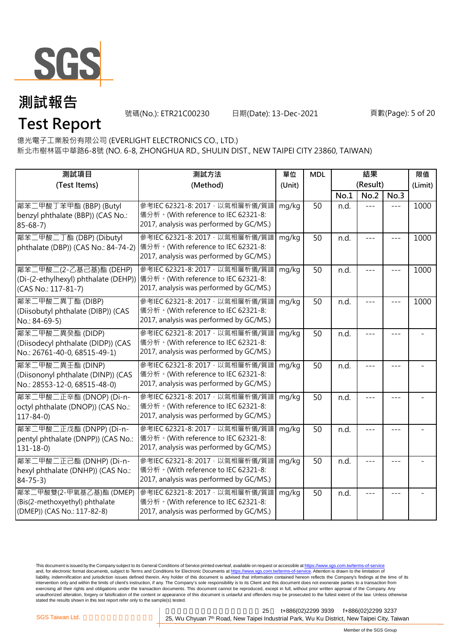

號碼(No.): ETR21C00230 日期(Date): 13-Dec-2021

#### 頁數(Page): 5 of 20

億光電子工業股份有限公司 (EVERLIGHT ELECTRONICS CO., LTD.)

新北市樹林區中華路6-8號 (NO. 6-8, ZHONGHUA RD., SHULIN DIST., NEW TAIPEI CITY 23860, TAIWAN)

| 測試項目<br>測試方法<br>(Test Items)<br>(Method)                                                 |                                                                                                                                                       | 單位<br>(Unit) | <b>MDL</b> | 結果<br>(Result) |       |         | 限值<br>(Limit) |
|------------------------------------------------------------------------------------------|-------------------------------------------------------------------------------------------------------------------------------------------------------|--------------|------------|----------------|-------|---------|---------------|
|                                                                                          |                                                                                                                                                       |              |            | No.1           | No.2  | No.3    |               |
| 鄰苯二甲酸丁苯甲酯 (BBP) (Butyl<br>benzyl phthalate (BBP)) (CAS No.:<br>$85 - 68 - 7$             | 參考IEC 62321-8: 2017, 以氣相層析儀/質譜<br>儀分析。(With reference to IEC 62321-8:<br>2017, analysis was performed by GC/MS.)                                      | mg/kg        | 50         | n.d.           | $---$ | $- - -$ | 1000          |
| 鄰苯二甲酸二丁酯 (DBP) (Dibutyl<br>phthalate (DBP)) (CAS No.: 84-74-2)                           | 參考IEC 62321-8: 2017, 以氣相層析儀/質譜<br>儀分析。(With reference to IEC 62321-8:<br>2017, analysis was performed by GC/MS.)                                      | mg/kg        | 50         | n.d.           | ---   |         | 1000          |
| 鄰苯二甲酸二(2-乙基己基)酯 (DEHP)<br>(CAS No.: 117-81-7)                                            | 參考IEC 62321-8: 2017, 以氣相層析儀/質譜<br>(Di-(2-ethylhexyl) phthalate (DEHP)) 儀分析。(With reference to IEC 62321-8:<br>2017, analysis was performed by GC/MS.) | mg/kg        | 50         | n.d.           |       |         | 1000          |
| 鄰苯二甲酸二異丁酯 (DIBP)<br>(Diisobutyl phthalate (DIBP)) (CAS<br>No.: 84-69-5)                  | 參考IEC 62321-8: 2017 · 以氣相層析儀/質譜<br>儀分析。(With reference to IEC 62321-8:<br>2017, analysis was performed by GC/MS.)                                     | mg/kg        | 50         | n.d.           |       |         | 1000          |
| 鄰苯二甲酸二異癸酯 (DIDP)<br>(Diisodecyl phthalate (DIDP)) (CAS<br>No.: 26761-40-0, 68515-49-1)   | 參考IEC 62321-8: 2017, 以氣相層析儀/質譜<br>儀分析。(With reference to IEC 62321-8:<br>2017, analysis was performed by GC/MS.)                                      | mg/kg        | 50         | n.d.           |       |         |               |
| 鄰苯二甲酸二異壬酯 (DINP)<br>(Diisononyl phthalate (DINP)) (CAS<br>No.: 28553-12-0, 68515-48-0)   | 參考IEC 62321-8: 2017 · 以氣相層析儀/質譜<br>儀分析。(With reference to IEC 62321-8:<br>2017, analysis was performed by GC/MS.)                                     | mg/kg        | 50         | n.d.           |       |         |               |
| 鄰苯二甲酸二正辛酯 (DNOP) (Di-n-<br>octyl phthalate (DNOP)) (CAS No.:<br>$117 - 84 - 0$           | 參考IEC 62321-8: 2017 · 以氣相層析儀/質譜<br>儀分析。(With reference to IEC 62321-8:<br>2017, analysis was performed by GC/MS.)                                     | mg/kg        | 50         | n.d.           |       |         |               |
| 鄰苯二甲酸二正戊酯 (DNPP) (Di-n-<br>pentyl phthalate (DNPP)) (CAS No.:<br>$131 - 18 - 0$          | 參考IEC 62321-8: 2017 · 以氣相層析儀/質譜<br>儀分析。(With reference to IEC 62321-8:<br>2017, analysis was performed by GC/MS.)                                     | mg/kg        | 50         | n.d.           |       |         |               |
| 鄰苯二甲酸二正己酯 (DNHP) (Di-n-<br>hexyl phthalate (DNHP)) (CAS No.:<br>$84 - 75 - 3$            | 參考IEC 62321-8: 2017, 以氣相層析儀/質譜<br>儀分析。(With reference to IEC 62321-8:<br>2017, analysis was performed by GC/MS.)                                      | mg/kg        | 50         | n.d.           |       |         |               |
| 鄰苯二甲酸雙(2-甲氧基乙基)酯 (DMEP)<br>(Bis(2-methoxyethyl) phthalate<br>(DMEP)) (CAS No.: 117-82-8) | 參考IEC 62321-8: 2017 · 以氣相層析儀/質譜<br>儀分析。(With reference to IEC 62321-8:<br>2017, analysis was performed by GC/MS.)                                     | mg/kg        | 50         | n.d.           |       |         |               |

This document is issued by the Company subject to its General Conditions of Service printed overleaf, available on request or accessible at <u>https://www.sgs.com.tw/terms-of-service</u><br>and, for electronic format documents, su liability, indemnification and jurisdiction issues defined therein. Any holder of this document is advised that information contained hereon reflects the Company's findings at the time of its intervention only and within the limits of client's instruction, if any. The Company's sole responsibility is to its Client and this document does not exonerate parties to a transaction from exercising all their rights and obligations under the transaction documents. This document cannot be reproduced, except in full, without prior written approval of the Company. Any<br>unauthorized alteration, forgery or falsif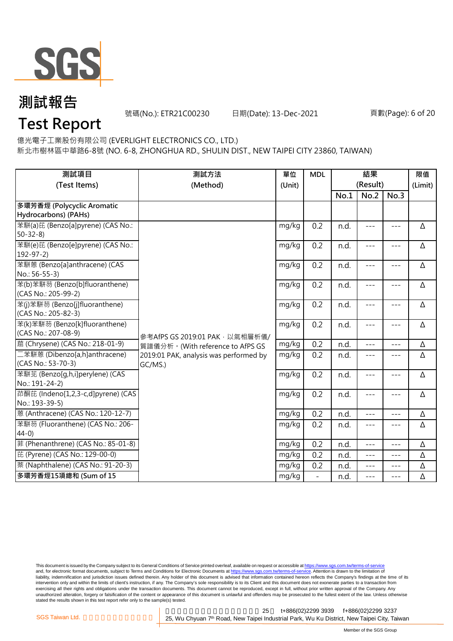

號碼(No.): ETR21C00230 日期(Date): 13-Dec-2021

頁數(Page): 6 of 20

# **Test Report**

億光電子工業股份有限公司 (EVERLIGHT ELECTRONICS CO., LTD.)

新北市樹林區中華路6-8號 (NO. 6-8, ZHONGHUA RD., SHULIN DIST., NEW TAIPEI CITY 23860, TAIWAN)

| 測試項目<br>(Test Items)                                  | 測試方法<br>(Method)                                  | 單位<br>(Unit) | <b>MDL</b>       | 結果<br>(Result) |       |         | 限值<br>(Limit) |
|-------------------------------------------------------|---------------------------------------------------|--------------|------------------|----------------|-------|---------|---------------|
|                                                       |                                                   |              |                  | No.1           | No.2  | No.3    |               |
| 多環芳香烴 (Polycyclic Aromatic                            |                                                   |              |                  |                |       |         |               |
| Hydrocarbons) (PAHs)                                  |                                                   |              |                  |                |       |         |               |
| 苯駢(a)芘 (Benzo[a]pyrene) (CAS No.:<br>$50 - 32 - 8$    |                                                   | mg/kg        | 0.2              | n.d.           | $---$ | $---$   | Δ             |
| 苯駢(e)芘 (Benzo[e]pyrene) (CAS No.:<br>$192 - 97 - 2$   |                                                   | mg/kg        | 0.2              | n.d.           | $---$ | $---$   | Δ             |
| 苯駢蒽 (Benzo[a]anthracene) (CAS<br>No.: 56-55-3)        |                                                   | mg/kg        | 0.2              | n.d.           | $---$ | $---$   | Δ             |
| 苯(b)苯駢芴 (Benzo[b]fluoranthene)<br>(CAS No.: 205-99-2) |                                                   | mg/kg        | 0.2              | n.d.           | $---$ | $---$   | Δ             |
| 苯(j)苯駢芴 (Benzo[j]fluoranthene)<br>(CAS No.: 205-82-3) |                                                   | mg/kg        | 0.2              | n.d.           | $---$ | $---$   | Δ             |
| 苯(k)苯駢芴 (Benzo[k]fluoranthene)<br>(CAS No.: 207-08-9) | 參考AfPS GS 2019:01 PAK, 以氣相層析儀/                    | mg/kg        | 0.2              | n.d.           | $---$ | $---$   | Δ             |
| 蔰 (Chrysene) (CAS No.: 218-01-9)                      | 質譜儀分析。(With reference to AfPS GS                  | mg/kg        | 0.2              | n.d.           | $---$ | $---$   | Δ             |
| 二苯駢蒽 (Dibenzo[a,h]anthracene)<br>(CAS No.: 53-70-3)   | 2019:01 PAK, analysis was performed by<br>GC/MS.) | mg/kg        | 0.2              | n.d.           | $---$ | $---$   | Δ             |
| 苯駢苙 (Benzo[g,h,i]perylene) (CAS<br>No.: 191-24-2)     |                                                   | mg/kg        | 0.2              | n.d.           | $---$ | $---$   | Δ             |
| 茚酮芘 (Indeno[1,2,3-c,d]pyrene) (CAS<br>No.: 193-39-5)  |                                                   | mg/kg        | 0.2              | n.d.           | $---$ | $---$   | Δ             |
| 蒽 (Anthracene) (CAS No.: 120-12-7)                    |                                                   | mg/kg        | $\overline{0.2}$ | n.d.           | $---$ | $---$   | Δ             |
| 苯駢芴 (Fluoranthene) (CAS No.: 206-<br>$44-0$           |                                                   | mg/kg        | 0.2              | n.d.           | ---   | $---$   | Δ             |
| 菲 (Phenanthrene) (CAS No.: 85-01-8)                   |                                                   | mg/kg        | 0.2              | n.d.           | $---$ | $- - -$ | Δ             |
| 芘 (Pyrene) (CAS No.: 129-00-0)                        |                                                   | mg/kg        | 0.2              | n.d.           | $---$ | $---$   | Δ             |
| 萘 (Naphthalene) (CAS No.: 91-20-3)                    |                                                   | mg/kg        | 0.2              | n.d.           | $---$ | $---$   | Δ             |
| 多環芳香烴15項總和 (Sum of 15                                 |                                                   | mg/kg        |                  | n.d.           |       | ---     | Δ             |

This document is issued by the Company subject to its General Conditions of Service printed overleaf, available on request or accessible at <u>https://www.sgs.com.tw/terms-of-service</u><br>and, for electronic format documents, su liability, indemnification and jurisdiction issues defined therein. Any holder of this document is advised that information contained hereon reflects the Company's findings at the time of its intervention only and within the limits of client's instruction, if any. The Company's sole responsibility is to its Client and this document does not exonerate parties to a transaction from exercising all their rights and obligations under the transaction documents. This document cannot be reproduced, except in full, without prior written approval of the Company. Any<br>unauthorized alteration, forgery or falsif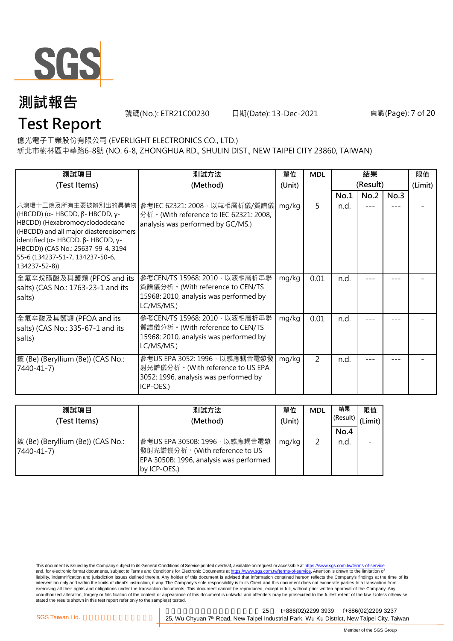

號碼(No.): ETR21C00230 日期(Date): 13-Dec-2021

頁數(Page): 7 of 20

# **Test Report**

億光電子工業股份有限公司 (EVERLIGHT ELECTRONICS CO., LTD.)

新北市樹林區中華路6-8號 (NO. 6-8, ZHONGHUA RD., SHULIN DIST., NEW TAIPEI CITY 23860, TAIWAN)

| 測試項目<br>(Test Items)                                                                                                                                                                                                                                                                             | 測試方法<br>(Method)                                                                                                          | 單位<br>(Unit) | <b>MDL</b> | 結果<br>(Result) |      |      | 限值<br>(Limit) |
|--------------------------------------------------------------------------------------------------------------------------------------------------------------------------------------------------------------------------------------------------------------------------------------------------|---------------------------------------------------------------------------------------------------------------------------|--------------|------------|----------------|------|------|---------------|
|                                                                                                                                                                                                                                                                                                  |                                                                                                                           |              |            | No.1           | No.2 | No.3 |               |
| 六溴環十二烷及所有主要被辨別出的異構物<br>(HBCDD) ( $\alpha$ - HBCDD, $\beta$ - HBCDD, $\gamma$ -<br>HBCDD) (Hexabromocyclododecane<br>(HBCDD) and all major diastereoisomers<br>identified (α- HBCDD, β- HBCDD, γ-<br>HBCDD)) (CAS No.: 25637-99-4, 3194-<br>55-6 (134237-51-7, 134237-50-6,<br>$134237 - 52 - 8)$ | 參考IEC 62321: 2008, 以氣相層析儀/質譜儀<br>分析 · (With reference to IEC 62321: 2008,<br>analysis was performed by GC/MS.)            | mg/kg        | 5          | n.d.           |      |      |               |
| 全氟辛烷磺酸及其鹽類 (PFOS and its<br>salts) (CAS No.: 1763-23-1 and its<br>salts)                                                                                                                                                                                                                         | 參考CEN/TS 15968: 2010 · 以液相層析串聯<br>質譜儀分析。(With reference to CEN/TS<br>15968: 2010, analysis was performed by<br>LC/MS/MS.) | mg/kg        | 0.01       | n.d.           |      |      |               |
| 全氟辛酸及其鹽類 (PFOA and its<br>salts) (CAS No.: 335-67-1 and its<br>salts)                                                                                                                                                                                                                            | 參考CEN/TS 15968: 2010 · 以液相層析串聯<br>質譜儀分析。(With reference to CEN/TS<br>15968: 2010, analysis was performed by<br>LC/MS/MS.) | mg/kg        | 0.01       | n.d.           |      |      |               |
| 鈹 (Be) (Beryllium (Be)) (CAS No.:<br>7440-41-7)                                                                                                                                                                                                                                                  | 參考US EPA 3052: 1996, 以感應耦合電漿發<br> 射光譜儀分析。(With reference to US EPA<br>3052: 1996, analysis was performed by<br>ICP-OES.)  | mg/kg        | 2          | n.d.           |      |      |               |

| 測試項目<br>(Test Items)                            | 測試方法<br>(Method)                                                                                                           |       | <b>MDL</b> | 結果<br>(Result) | 限值<br>(Limit) |
|-------------------------------------------------|----------------------------------------------------------------------------------------------------------------------------|-------|------------|----------------|---------------|
|                                                 |                                                                                                                            |       |            | No.4           |               |
| 皴 (Be) (Beryllium (Be)) (CAS No.:<br>7440-41-7) | 參考US EPA 3050B: 1996 · 以感應耦合電漿<br>發射光譜儀分析。(With reference to US<br>EPA 3050B: 1996, analysis was performed<br>by ICP-OES.) | mg/kg | 2          | n.d.           |               |

This document is issued by the Company subject to its General Conditions of Service printed overleaf, available on request or accessible at <u>https://www.sgs.com.tw/terms-of-service</u><br>and, for electronic format documents, su liability, indemnification and jurisdiction issues defined therein. Any holder of this document is advised that information contained hereon reflects the Company's findings at the time of its intervention only and within the limits of client's instruction, if any. The Company's sole responsibility is to its Client and this document does not exonerate parties to a transaction from exercising all their rights and obligations under the transaction documents. This document cannot be reproduced, except in full, without prior written approval of the Company. Any<br>unauthorized alteration, forgery or falsif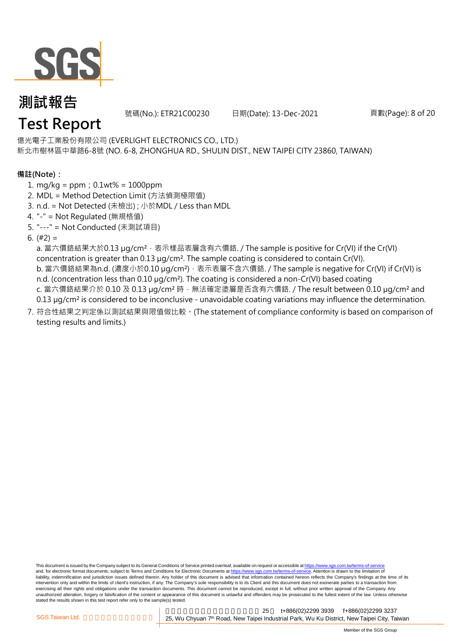

號碼(No.): ETR21C00230 日期(Date): 13-Dec-2021

頁數(Page): 8 of 20

# **Test Report**

新北市樹林區中華路6-8號 (NO. 6-8, ZHONGHUA RD., SHULIN DIST., NEW TAIPEI CITY 23860, TAIWAN) 億光電子工業股份有限公司 (EVERLIGHT ELECTRONICS CO., LTD.)

#### **備註(Note):**

- 1. mg/kg = ppm;0.1wt% = 1000ppm
- 2. MDL = Method Detection Limit (方法偵測極限值)
- 3. n.d. = Not Detected (未檢出) ; 小於MDL / Less than MDL
- 4. "-" = Not Regulated (無規格值)
- 5. "---" = Not Conducted (未測試項目)
- 6. (#2) =

a. 當六價鉻結果大於0.13 μg/cm<sup>2,</sup> 表示樣品表層含有六價鉻. / The sample is positive for Cr(VI) if the Cr(VI) concentration is greater than 0.13 µg/cm². The sample coating is considered to contain Cr(VI). b. 當六價鉻結果為n.d. (濃度小於0.10 μg/cm<sup>2</sup>), 表示表層不含六價鉻. / The sample is negative for Cr(VI) if Cr(VI) is n.d. (concentration less than 0.10 µg/cm<sup>2</sup>). The coating is considered a non-Cr(VI) based coating c. 當六價鉻結果介於 0.10 及 0.13 µg/cm<sup>2</sup> 時, 無法確定塗層是否含有六價鉻. / The result between 0.10 µg/cm<sup>2</sup> and 0.13 µg/cm² is considered to be inconclusive - unavoidable coating variations may influence the determination.

7. 符合性結果之判定係以測試結果與限值做比較。(The statement of compliance conformity is based on comparison of testing results and limits.)

This document is issued by the Company subject to its General Conditions of Service printed overleaf, available on request or accessible at https://www.sgs.com.tw/terms-of-service and, for electronic format documents, subject to Terms and Conditions for Electronic Documents at https://www.sgs.com.tw/terms-of-service. Attention is drawn to the limitation of liability, indemnification and jurisdiction issues defined therein. Any holder of this document is advised that information contained hereon reflects the Company's findings at the time of its intervention only and within the limits of client's instruction, if any. The Company's sole responsibility is to its Client and this document does not exonerate parties to a transaction from exercising all their rights and obligations under the transaction documents. This document cannot be reproduced, except in full, without prior written approval of the Company. Any unauthorized alteration, forgery or falsification of the content or appearance of this document is unlawful and offenders may be prosecuted to the fullest extent of the law. Unless otherwise stated the results shown in this test report refer only to the sample(s) tested.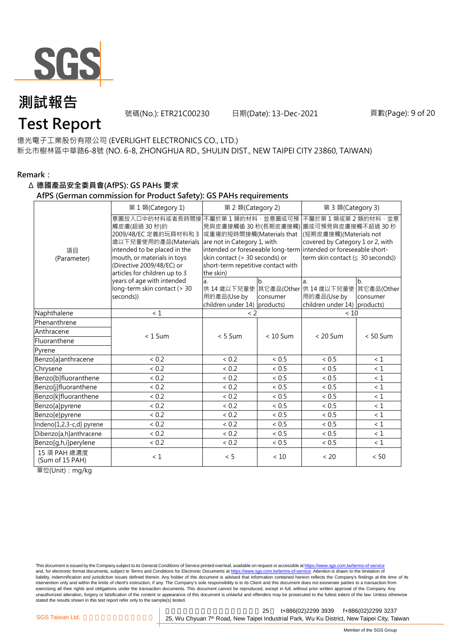

號碼(No.): ETR21C00230 日期(Date): 13-Dec-2021

# **Test Report**

新北市樹林區中華路6-8號 (NO. 6-8, ZHONGHUA RD., SHULIN DIST., NEW TAIPEI CITY 23860, TAIWAN) 億光電子工業股份有限公司 (EVERLIGHT ELECTRONICS CO., LTD.)

#### **Remark:**

#### Δ **德國產品安全委員會(AfPS): GS PAHs 要求**

#### **AfPS (German commission for Product Safety): GS PAHs requirements**

|                                 | 第1類(Category 1)                                                                                                                                                                                              | 第 2 類(Category 2)                                                                                                                                                |                | 第 3 類(Category 3)                                                                                                                                                                                                                        |                |  |  |
|---------------------------------|--------------------------------------------------------------------------------------------------------------------------------------------------------------------------------------------------------------|------------------------------------------------------------------------------------------------------------------------------------------------------------------|----------------|------------------------------------------------------------------------------------------------------------------------------------------------------------------------------------------------------------------------------------------|----------------|--|--|
| 項目<br>(Parameter)               | 意圖放入口中的材料或者長時間接<br>觸皮膚(超過30秒)的<br>2009/48/EC 定義的玩具材料和 3<br>歲以下兒童使用的產品(Materials<br>intended to be placed in the<br>mouth, or materials in toys<br>(Directive 2009/48/EC) or<br>articles for children up to 3 | 不屬於第1類的材料,並意圖或可預<br>或重複的短時間接觸(Materials that<br>are not in Category 1, with<br>skin contact (> 30 seconds) or<br>short-term repetitive contact with<br>the skin) |                | 不屬於第1類或第2類的材料,並意<br>見與皮膚接觸逾 30 秒(長期皮膚接觸) 圖或可預見與皮膚接觸不超過 30 秒<br>(短期皮膚接觸)(Materials not<br>covered by Category 1 or 2, with<br>intended or foreseeable long-term intended or foreseeable short-<br>term skin contact ( $\leq$ 30 seconds)) |                |  |  |
|                                 | years of age with intended<br>long-term skin contact (> 30<br>seconds))                                                                                                                                      | a.<br>用的產品(Use by<br>children under 14) products)                                                                                                                | b.<br>consumer | a.<br>供 14 歳以下兒童使 其它產品(Other 供 14 歳以下兒童使 其它產品(Other<br>用的產品(Use by<br>children under 14) products)                                                                                                                                       | b.<br>consumer |  |  |
| Naphthalene                     | $\leq 1$                                                                                                                                                                                                     | $\leq$ 2                                                                                                                                                         |                | < 10                                                                                                                                                                                                                                     |                |  |  |
| Phenanthrene                    |                                                                                                                                                                                                              |                                                                                                                                                                  |                |                                                                                                                                                                                                                                          |                |  |  |
| Anthracene                      | $< 1$ Sum                                                                                                                                                                                                    | $< 5$ Sum                                                                                                                                                        | $< 10$ Sum     | $< 20$ Sum                                                                                                                                                                                                                               | $< 50$ Sum     |  |  |
| Fluoranthene                    |                                                                                                                                                                                                              |                                                                                                                                                                  |                |                                                                                                                                                                                                                                          |                |  |  |
| Pyrene                          |                                                                                                                                                                                                              |                                                                                                                                                                  |                |                                                                                                                                                                                                                                          |                |  |  |
| Benzo[a]anthracene              | < 0.2                                                                                                                                                                                                        | ${}< 0.2$                                                                                                                                                        | < 0.5          | ~< 0.5                                                                                                                                                                                                                                   | $\leq 1$       |  |  |
| Chrysene                        | < 0.2                                                                                                                                                                                                        | ${}< 0.2$                                                                                                                                                        | < 0.5          | ~< 0.5                                                                                                                                                                                                                                   | $\leq 1$       |  |  |
| Benzo[b]fluoranthene            | < 0.2                                                                                                                                                                                                        | < 0.2                                                                                                                                                            | < 0.5          | ${}< 0.5$                                                                                                                                                                                                                                | $\leq 1$       |  |  |
| Benzo[j]fluoranthene            | < 0.2                                                                                                                                                                                                        | < 0.2                                                                                                                                                            | < 0.5          | < 0.5                                                                                                                                                                                                                                    | < 1            |  |  |
| Benzo[k]fluoranthene            | ${}< 0.2$                                                                                                                                                                                                    | < 0.2                                                                                                                                                            | < 0.5          | < 0.5                                                                                                                                                                                                                                    | $\leq 1$       |  |  |
| Benzo[a]pyrene                  | < 0.2                                                                                                                                                                                                        | < 0.2                                                                                                                                                            | < 0.5          | < 0.5                                                                                                                                                                                                                                    | $\leq 1$       |  |  |
| Benzo[e]pyrene                  | < 0.2                                                                                                                                                                                                        | < 0.2                                                                                                                                                            | < 0.5          | ~< 0.5                                                                                                                                                                                                                                   | $\leq 1$       |  |  |
| Indeno[1,2,3-c,d] pyrene        | < 0.2                                                                                                                                                                                                        | < 0.2                                                                                                                                                            | < 0.5          | < 0.5                                                                                                                                                                                                                                    | $\leq 1$       |  |  |
| Dibenzo[a,h]anthracene          | ${}< 0.2$                                                                                                                                                                                                    | ${}< 0.2$                                                                                                                                                        | ~< 0.5         | ~< 0.5                                                                                                                                                                                                                                   | < 1            |  |  |
| Benzo[g,h,i]perylene            | ${}< 0.2$                                                                                                                                                                                                    | ${}< 0.2$                                                                                                                                                        | < 0.5          | < 0.5                                                                                                                                                                                                                                    | $\leq 1$       |  |  |
| 15 項 PAH 總濃度<br>(Sum of 15 PAH) | $\leq 1$                                                                                                                                                                                                     | < 5                                                                                                                                                              | $<10$          | < 20                                                                                                                                                                                                                                     | < 50           |  |  |

單位(Unit):mg/kg

This document is issued by the Company subject to its General Conditions of Service printed overleaf, available on request or accessible at https://www.sgs.com.tw/terms-of-service and, for electronic format documents, subject to Terms and Conditions for Electronic Documents at https://www.sgs.com.tw/terms-of-service. Attention is drawn to the limitation of liability, indemnification and jurisdiction issues defined therein. Any holder of this document is advised that information contained hereon reflects the Company's findings at the time of its intervention only and within the limits of client's instruction, if any. The Company's sole responsibility is to its Client and this document does not exonerate parties to a transaction from exercising all their rights and obligations under the transaction documents. This document cannot be reproduced, except in full, without prior written approval of the Company. Any<br>unauthorized alteration, forgery or falsif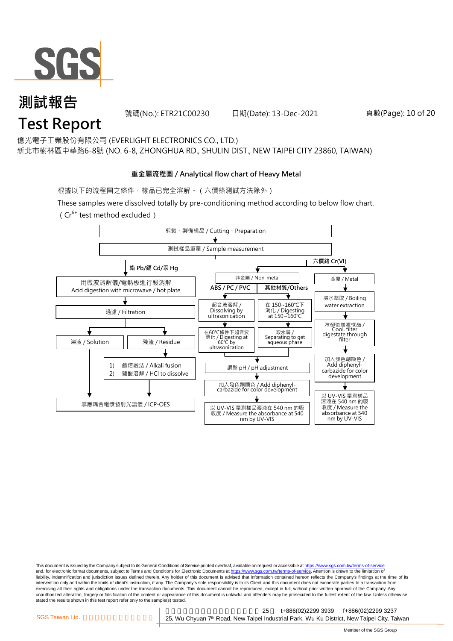

#### **測試報告 Test Report** 號碼(No.): ETR21C00230 日期(Date): 13-Dec-2021

新北市樹林區中華路6-8號 (NO. 6-8, ZHONGHUA RD., SHULIN DIST., NEW TAIPEI CITY 23860, TAIWAN) 億光電子工業股份有限公司 (EVERLIGHT ELECTRONICS CO., LTD.)

#### **重金屬流程圖 / Analytical flow chart of Heavy Metal**

根據以下的流程圖之條件,樣品已完全溶解。 (六價鉻測試方法除外)

These samples were dissolved totally by pre-conditioning method according to below flow chart.

( $Cr^{6+}$  test method excluded)



This document is issued by the Company subject to its General Conditions of Service printed overleaf, available on request or accessible at https://www.sgs.com.tw/terms-of-service and, for electronic format documents, subject to Terms and Conditions for Electronic Documents at https://www.sgs.com.tw/terms-of-service. Attention is drawn to the limitation of liability, indemnification and jurisdiction issues defined therein. Any holder of this document is advised that information contained hereon reflects the Company's findings at the time of its intervention only and within the limits of client's instruction, if any. The Company's sole responsibility is to its Client and this document does not exonerate parties to a transaction from exercising all their rights and obligations under the transaction documents. This document cannot be reproduced, except in full, without prior written approval of the Company. Any<br>unauthorized alteration, forgery or falsif stated the results shown in this test report refer only to the sample(s) tested.

新北市五股區新北產業園區五權七 25 t+886(02)2299 3939 f+886(02)2299 3237 SGS Taiwan Ltd. **Exercise 25, Wu Chyuan 7<sup>th</sup> Road, New Taipei Industrial Park, Wu Ku District, New Taipei City, Taiwan** 

頁數(Page): 10 of 20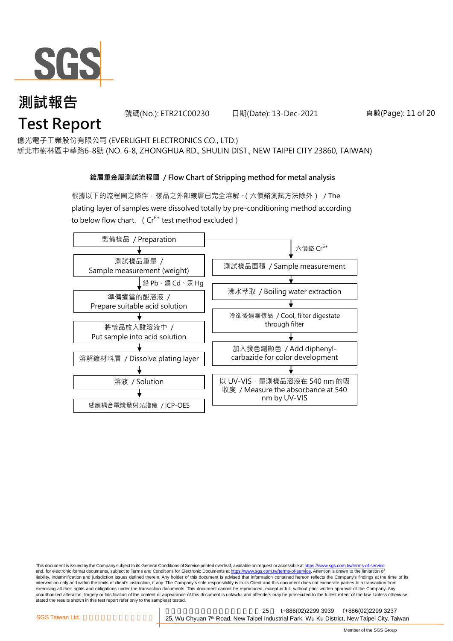

#### **測試報告 Test Report** 號碼(No.): ETR21C00230 日期(Date): 13-Dec-2021

新北市樹林區中華路6-8號 (NO. 6-8, ZHONGHUA RD., SHULIN DIST., NEW TAIPEI CITY 23860, TAIWAN) 億光電子工業股份有限公司 (EVERLIGHT ELECTRONICS CO., LTD.)

#### **鍍層重金屬測試流程圖 / Flow Chart of Stripping method for metal analysis**

根據以下的流程圖之條件,樣品之外部鍍層已完全溶解。(六價鉻測試方法除外) / The plating layer of samples were dissolved totally by pre-conditioning method according to below flow chart. ( $Cr^{6+}$  test method excluded)



This document is issued by the Company subject to its General Conditions of Service printed overleaf, available on request or accessible at https://www.sgs.com.tw/terms-of-service and, for electronic format documents, subject to Terms and Conditions for Electronic Documents at https://www.sgs.com.tw/terms-of-service. Attention is drawn to the limitation of liability, indemnification and jurisdiction issues defined therein. Any holder of this document is advised that information contained hereon reflects the Company's findings at the time of its intervention only and within the limits of client's instruction, if any. The Company's sole responsibility is to its Client and this document does not exonerate parties to a transaction from exercising all their rights and obligations under the transaction documents. This document cannot be reproduced, except in full, without prior written approval of the Company. Any<br>unauthorized alteration, forgery or falsif stated the results shown in this test report refer only to the sample(s) tested.

新北市五股區新北產業園區五權七 25 t+886(02)2299 3939 f+886(02)2299 3237 SGS Taiwan Ltd. **Exercise 25, Wu Chyuan 7<sup>th</sup> Road, New Taipei Industrial Park, Wu Ku District, New Taipei City, Taiwan** 

頁數(Page): 11 of 20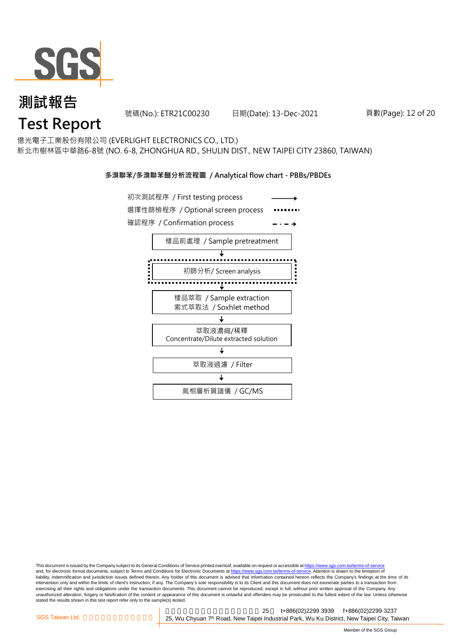

# **測試報告** 測試報告<br>Test Report

號碼(No.): ETR21C00230 日期(Date): 13-Dec-2021

頁數(Page): 12 of 20

#### 億光電子工業股份有限公司 (EVERLIGHT ELECTRONICS CO., LTD.)

新北市樹林區中華路6-8號 (NO. 6-8, ZHONGHUA RD., SHULIN DIST., NEW TAIPEI CITY 23860, TAIWAN)

#### **多溴聯苯/多溴聯苯醚分析流程圖 / Analytical flow chart - PBBs/PBDEs**



This document is issued by the Company subject to its General Conditions of Service printed overleaf, available on request or accessible at https://www.sgs.com.tw/terms-of-service and, for electronic format documents, subject to Terms and Conditions for Electronic Documents at https://www.sgs.com.tw/terms-of-service. Attention is drawn to the limitation of liability, indemnification and jurisdiction issues defined therein. Any holder of this document is advised that information contained hereon reflects the Company's findings at the time of its intervention only and within the limits of client's instruction, if any. The Company's sole responsibility is to its Client and this document does not exonerate parties to a transaction from exercising all their rights and obligations under the transaction documents. This document cannot be reproduced, except in full, without prior written approval of the Company. Any<br>unauthorized alteration, forgery or falsif stated the results shown in this test report refer only to the sample(s) tested.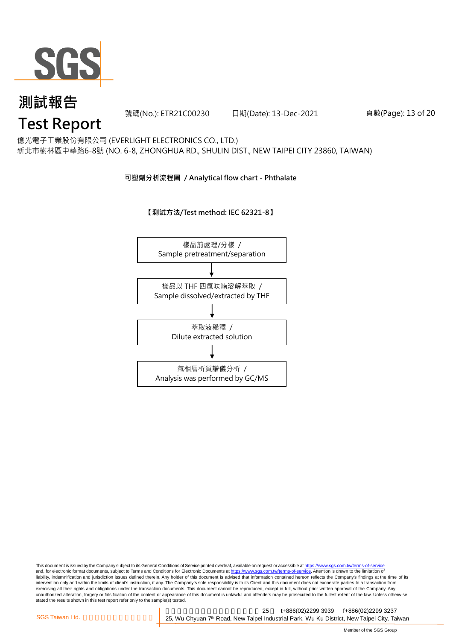

號碼(No.): ETR21C00230 日期(Date): 13-Dec-2021

頁數(Page): 13 of 20

#### 億光電子工業股份有限公司 (EVERLIGHT ELECTRONICS CO., LTD.)

新北市樹林區中華路6-8號 (NO. 6-8, ZHONGHUA RD., SHULIN DIST., NEW TAIPEI CITY 23860, TAIWAN)

#### **可塑劑分析流程圖 / Analytical flow chart - Phthalate**

#### **【測試方法/Test method: IEC 62321-8】**



#### This document is issued by the Company subject to its General Conditions of Service printed overleaf, available on request or accessible at <u>https://www.sgs.com.tw/terms-of-service</u><br>and, for electronic format documents, su liability, indemnification and jurisdiction issues defined therein. Any holder of this document is advised that information contained hereon reflects the Company's findings at the time of its intervention only and within the limits of client's instruction, if any. The Company's sole responsibility is to its Client and this document does not exonerate parties to a transaction from exercising all their rights and obligations under the transaction documents. This document cannot be reproduced, except in full, without prior written approval of the Company. Any<br>unauthorized alteration, forgery or falsif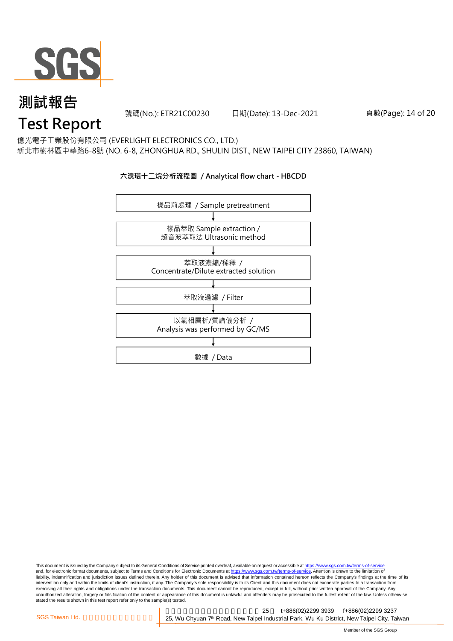

號碼(No.): ETR21C00230 日期(Date): 13-Dec-2021

頁數(Page): 14 of 20

億光電子工業股份有限公司 (EVERLIGHT ELECTRONICS CO., LTD.)

新北市樹林區中華路6-8號 (NO. 6-8, ZHONGHUA RD., SHULIN DIST., NEW TAIPEI CITY 23860, TAIWAN)

#### **六溴環十二烷分析流程圖 / Analytical flow chart - HBCDD**



This document is issued by the Company subject to its General Conditions of Service printed overleaf, available on request or accessible at <u>https://www.sgs.com.tw/terms-of-service</u><br>and, for electronic format documents, su liability, indemnification and jurisdiction issues defined therein. Any holder of this document is advised that information contained hereon reflects the Company's findings at the time of its intervention only and within the limits of client's instruction, if any. The Company's sole responsibility is to its Client and this document does not exonerate parties to a transaction from exercising all their rights and obligations under the transaction documents. This document cannot be reproduced, except in full, without prior written approval of the Company. Any<br>unauthorized alteration, forgery or falsif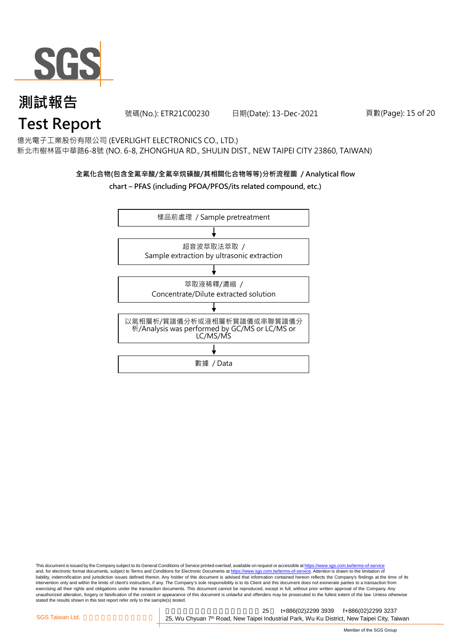

號碼(No.): ETR21C00230 日期(Date): 13-Dec-2021

#### 頁數(Page): 15 of 20

## 億光電子工業股份有限公司 (EVERLIGHT ELECTRONICS CO., LTD.)

新北市樹林區中華路6-8號 (NO. 6-8, ZHONGHUA RD., SHULIN DIST., NEW TAIPEI CITY 23860, TAIWAN)

#### **全氟化合物(包含全氟辛酸/全氟辛烷磺酸/其相關化合物等等)分析流程圖 / Analytical flow**

#### **chart – PFAS (including PFOA/PFOS/its related compound, etc.)**



This document is issued by the Company subject to its General Conditions of Service printed overleaf, available on request or accessible at https://www.sgs.com.tw/terms-of-service and, for electronic format documents, subject to Terms and Conditions for Electronic Documents at https://www.sgs.com.tw/terms-of-service. Attention is drawn to the limitation of liability, indemnification and jurisdiction issues defined therein. Any holder of this document is advised that information contained hereon reflects the Company's findings at the time of its intervention only and within the limits of client's instruction, if any. The Company's sole responsibility is to its Client and this document does not exonerate parties to a transaction from exercising all their rights and obligations under the transaction documents. This document cannot be reproduced, except in full, without prior written approval of the Company. Any<br>unauthorized alteration, forgery or falsif stated the results shown in this test report refer only to the sample(s) tested.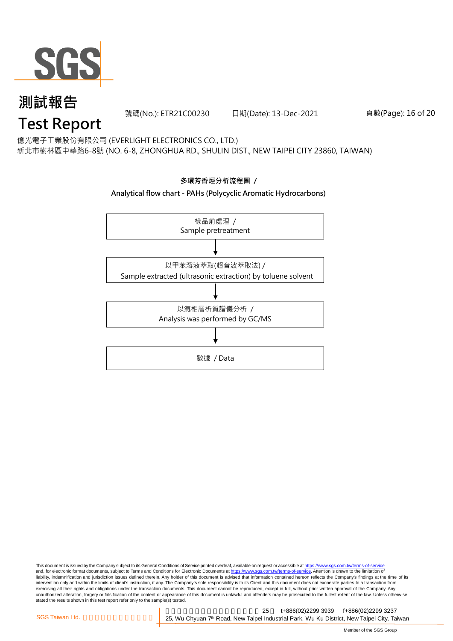

號碼(No.): ETR21C00230 日期(Date): 13-Dec-2021

#### 頁數(Page): 16 of 20

新北市樹林區中華路6-8號 (NO. 6-8, ZHONGHUA RD., SHULIN DIST., NEW TAIPEI CITY 23860, TAIWAN) 億光電子工業股份有限公司 (EVERLIGHT ELECTRONICS CO., LTD.)



#### **Analytical flow chart - PAHs (Polycyclic Aromatic Hydrocarbons)**



This document is issued by the Company subject to its General Conditions of Service printed overleaf, available on request or accessible at <u>https://www.sgs.com.tw/terms-of-service</u><br>and, for electronic format documents, su liability, indemnification and jurisdiction issues defined therein. Any holder of this document is advised that information contained hereon reflects the Company's findings at the time of its intervention only and within the limits of client's instruction, if any. The Company's sole responsibility is to its Client and this document does not exonerate parties to a transaction from exercising all their rights and obligations under the transaction documents. This document cannot be reproduced, except in full, without prior written approval of the Company. Any<br>unauthorized alteration, forgery or falsif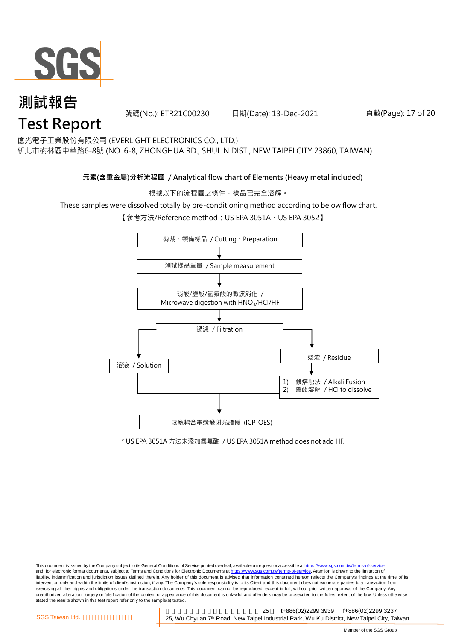

號碼(No.): ETR21C00230 日期(Date): 13-Dec-2021

#### 頁數(Page): 17 of 20

億光電子工業股份有限公司 (EVERLIGHT ELECTRONICS CO., LTD.)

新北市樹林區中華路6-8號 (NO. 6-8, ZHONGHUA RD., SHULIN DIST., NEW TAIPEI CITY 23860, TAIWAN)

#### **元素(含重金屬)分析流程圖 / Analytical flow chart of Elements (Heavy metal included)**

根據以下的流程圖之條件,樣品已完全溶解。

These samples were dissolved totally by pre-conditioning method according to below flow chart.

【參考方法/Reference method: US EPA 3051A、US EPA 3052】



\* US EPA 3051A 方法未添加氫氟酸 / US EPA 3051A method does not add HF.

This document is issued by the Company subject to its General Conditions of Service printed overleaf, available on request or accessible at https://www.sgs.com.tw/terms-of-service and, for electronic format documents, subject to Terms and Conditions for Electronic Documents at https://www.sgs.com.tw/terms-of-service. Attention is drawn to the limitation of liability, indemnification and jurisdiction issues defined therein. Any holder of this document is advised that information contained hereon reflects the Company's findings at the time of its intervention only and within the limits of client's instruction, if any. The Company's sole responsibility is to its Client and this document does not exonerate parties to a transaction from exercising all their rights and obligations under the transaction documents. This document cannot be reproduced, except in full, without prior written approval of the Company. Any<br>unauthorized alteration, forgery or falsif stated the results shown in this test report refer only to the sample(s) tested.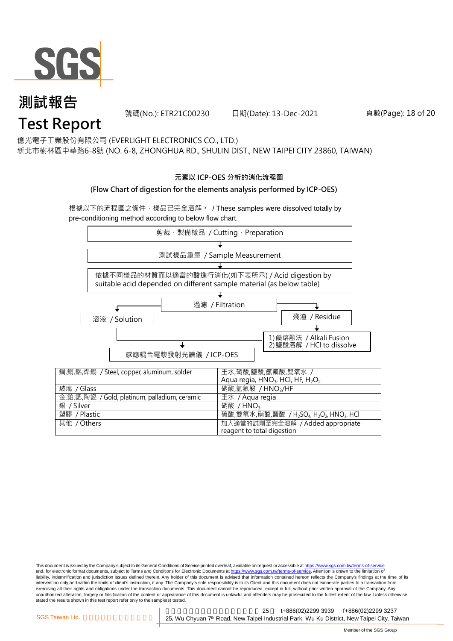

號碼(No.): ETR21C00230 日期(Date): 13-Dec-2021

#### 頁數(Page): 18 of 20

億光電子工業股份有限公司 (EVERLIGHT ELECTRONICS CO., LTD.)

新北市樹林區中華路6-8號 (NO. 6-8, ZHONGHUA RD., SHULIN DIST., NEW TAIPEI CITY 23860, TAIWAN)

#### **元素以 ICP-OES 分析的消化流程圖**

#### **(Flow Chart of digestion for the elements analysis performed by ICP-OES)**

根據以下的流程圖之條件,樣品已完全溶解。 / These samples were dissolved totally by pre-conditioning method according to below flow chart.



This document is issued by the Company subject to its General Conditions of Service printed overleaf, available on request or accessible at https://www.sgs.com.tw/terms-of-service and, for electronic format documents, subject to Terms and Conditions for Electronic Documents at https://www.sgs.com.tw/terms-of-service. Attention is drawn to the limitation of liability, indemnification and jurisdiction issues defined therein. Any holder of this document is advised that information contained hereon reflects the Company's findings at the time of its intervention only and within the limits of client's instruction, if any. The Company's sole responsibility is to its Client and this document does not exonerate parties to a transaction from exercising all their rights and obligations under the transaction documents. This document cannot be reproduced, except in full, without prior written approval of the Company. Any<br>unauthorized alteration, forgery or falsif stated the results shown in this test report refer only to the sample(s) tested.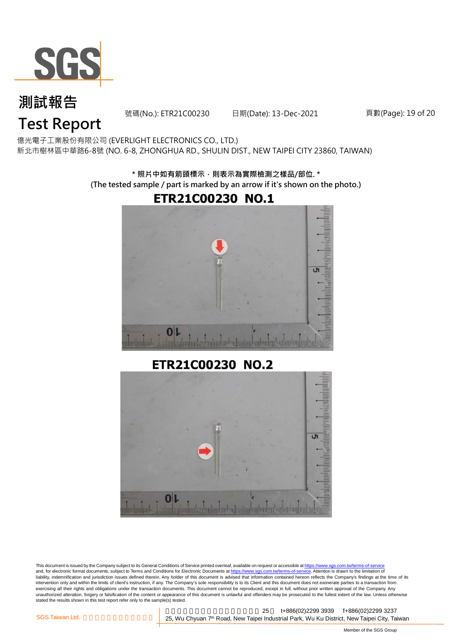

號碼(No.): ETR21C00230 日期(Date): 13-Dec-2021

頁數(Page): 19 of 20

新北市樹林區中華路6-8號 (NO. 6-8, ZHONGHUA RD., SHULIN DIST., NEW TAIPEI CITY 23860, TAIWAN) 億光電子工業股份有限公司 (EVERLIGHT ELECTRONICS CO., LTD.)

> **\* 照片中如有箭頭標示,則表示為實際檢測之樣品/部位. \* (The tested sample / part is marked by an arrow if it's shown on the photo.)**

## **ETR21C00230 NO.1**



ETR21C00230 NO.2



This document is issued by the Company subject to its General Conditions of Service printed overleaf, available on request or accessible at https://www.sgs.com.tw/terms-of-service and, for electronic format documents, subject to Terms and Conditions for Electronic Documents at https://www.sgs.com.tw/terms-of-service. Attention is drawn to the limitation of liability, indemnification and jurisdiction issues defined therein. Any holder of this document is advised that information contained hereon reflects the Company's findings at the time of its liability, indemnification and intervention only and within the limits of client's instruction, if any. The Company's sole responsibility is to its Client and this document does not exonerate parties to a transaction from exercising all their rights and obligations under the transaction documents. This document cannot be reproduced, except in full, without prior written approval of the Company. Any<br>unauthorized alteration, forgery or falsif stated the results shown in this test report refer only to the sample(s) tested.